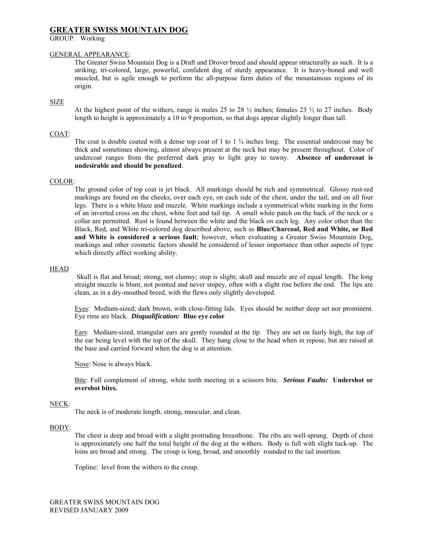# **GREATER SWISS MOUNTAIN DOG**

GROUP: Working

### GENERAL APPEARANCE:

The Greater Swiss Mountain Dog is a Draft and Drover breed and should appear structurally as such. It is a striking, tri-colored, large, powerful, confident dog of sturdy appearance. It is heavy-boned and well muscled, but is agile enough to perform the all-purpose farm duties of the mountainous regions of its origin.

## SIZE

At the highest point of the withers, range is males 25 to 28  $\frac{1}{2}$  inches; females 23  $\frac{1}{2}$  to 27 inches. Body length to height is approximately a 10 to 9 proportion, so that dogs appear slightly longer than tall.

## COAT:

The coat is double coated with a dense top coat of 1 to  $1\frac{3}{4}$  inches long. The essential undercoat may be thick and sometimes showing, almost always present at the neck but may be present throughout. Color of undercoat ranges from the preferred dark gray to light gray to tawny. **Absence of undercoat is undesirable and should be penalized**.

### COLOR:

The ground color of top coat is jet black. All markings should be rich and symmetrical. Glossy rust-red markings are found on the cheeks, over each eye, on each side of the chest, under the tail, and on all four legs. There is a white blaze and muzzle. White markings include a symmetrical white marking in the form of an inverted cross on the chest, white feet and tail tip. A small white patch on the back of the neck or a collar are permitted. Rust is found between the white and the black on each leg. Any color other than the Black, Red, and White tri-colored dog described above, such as **Blue/Charcoal, Red and White, or Red and White is considered a serious fault**; however, when evaluating a Greater Swiss Mountain Dog, markings and other cosmetic factors should be considered of lesser importance than other aspects of type which directly affect working ability.

### **HEAD**

Skull is flat and broad; strong, not clumsy; stop is slight; skull and muzzle are of equal length. The long straight muzzle is blunt, not pointed and never snipey, often with a slight rise before the end. The lips are clean, as in a dry-mouthed breed, with the flews only slightly developed.

Eyes: Medium-sized; dark brown, with close-fitting lids. Eyes should be neither deep set nor prominent. Eye rims are black. *Disqualification:* **Blue eye color**

Ears: Medium-sized, triangular ears are gently rounded at the tip. They are set on fairly high, the top of the ear being level with the top of the skull. They hang close to the head when in repose, but are raised at the base and carried forward when the dog is at attention.

Nose: Nose is always black.

Bite: Full complement of strong, white teeth meeting in a scissors bite. *Serious Faults:* **Undershot or overshot bites.**

### NECK:

The neck is of moderate length, strong, muscular, and clean.

### BODY:

The chest is deep and broad with a slight protruding breastbone. The ribs are well-sprung. Depth of chest is approximately one half the total height of the dog at the withers. Body is full with slight tuck-up. The loins are broad and strong. The croup is long, broad, and smoothly rounded to the tail insertion.

Topline: level from the withers to the croup.